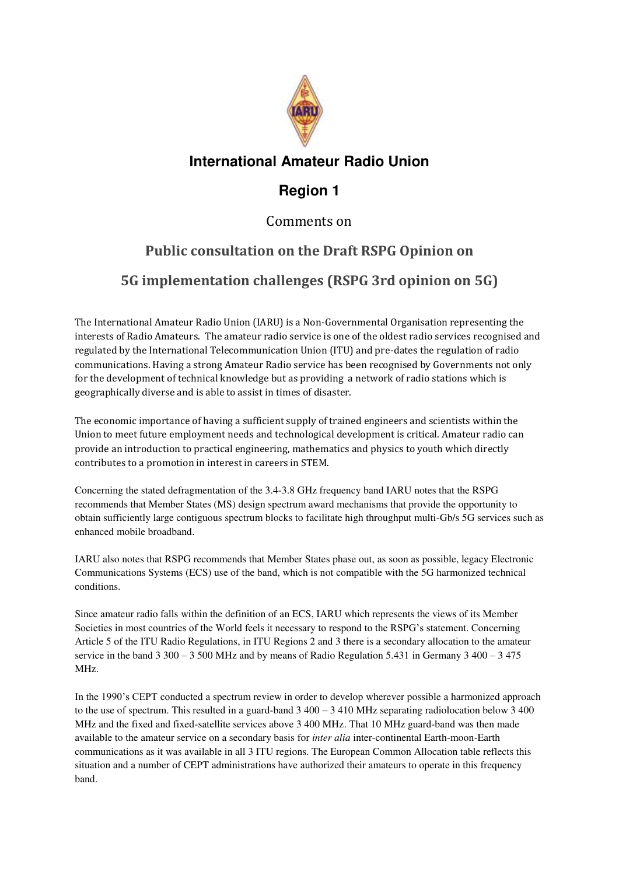

#### **International Amateur Radio Union**

### **Region 1**

#### Comments on

# **Public consultation on the Draft RSPG Opinion on**

## **5G implementation challenges (RSPG 3rd opinion on 5G)**

The International Amateur Radio Union (IARU) is a Non-Governmental Organisation representing the interests of Radio Amateurs. The amateur radio service is one of the oldest radio services recognised and regulated by the International Telecommunication Union (ITU) and pre-dates the regulation of radio communications. Having a strong Amateur Radio service has been recognised by Governments not only for the development of technical knowledge but as providing a network of radio stations which is geographically diverse and is able to assist in times of disaster.

The economic importance of having a sufficient supply of trained engineers and scientists within the Union to meet future employment needs and technological development is critical. Amateur radio can provide an introduction to practical engineering, mathematics and physics to youth which directly contributes to a promotion in interest in careers in STEM.

Concerning the stated defragmentation of the 3.4-3.8 GHz frequency band IARU notes that the RSPG recommends that Member States (MS) design spectrum award mechanisms that provide the opportunity to obtain sufficiently large contiguous spectrum blocks to facilitate high throughput multi-Gb/s 5G services such as enhanced mobile broadband.

IARU also notes that RSPG recommends that Member States phase out, as soon as possible, legacy Electronic Communications Systems (ECS) use of the band, which is not compatible with the 5G harmonized technical conditions.

Since amateur radio falls within the definition of an ECS, IARU which represents the views of its Member Societies in most countries of the World feels it necessary to respond to the RSPG's statement. Concerning Article 5 of the ITU Radio Regulations, in ITU Regions 2 and 3 there is a secondary allocation to the amateur service in the band  $3\,300 - 3\,500$  MHz and by means of Radio Regulation 5.431 in Germany 3 400 – 3 475 MHz.

In the 1990's CEPT conducted a spectrum review in order to develop wherever possible a harmonized approach to the use of spectrum. This resulted in a guard-band  $3\,400 - 3\,410$  MHz separating radiolocation below  $3\,400$ MHz and the fixed and fixed-satellite services above 3 400 MHz. That 10 MHz guard-band was then made available to the amateur service on a secondary basis for *inter alia* inter-continental Earth-moon-Earth communications as it was available in all 3 ITU regions. The European Common Allocation table reflects this situation and a number of CEPT administrations have authorized their amateurs to operate in this frequency band.